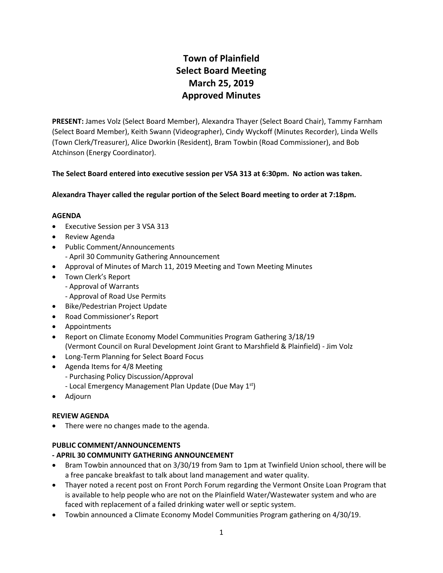# **Town of Plainfield Select Board Meeting March 25, 2019 Approved Minutes**

**PRESENT:** James Volz (Select Board Member), Alexandra Thayer (Select Board Chair), Tammy Farnham (Select Board Member), Keith Swann (Videographer), Cindy Wyckoff (Minutes Recorder), Linda Wells (Town Clerk/Treasurer), Alice Dworkin (Resident), Bram Towbin (Road Commissioner), and Bob Atchinson (Energy Coordinator).

# **The Select Board entered into executive session per VSA 313 at 6:30pm. No action was taken.**

**Alexandra Thayer called the regular portion of the Select Board meeting to order at 7:18pm.** 

#### **AGENDA**

- Executive Session per 3 VSA 313
- Review Agenda
- Public Comment/Announcements
	- April 30 Community Gathering Announcement
- Approval of Minutes of March 11, 2019 Meeting and Town Meeting Minutes
- Town Clerk's Report
	- Approval of Warrants
	- Approval of Road Use Permits
- Bike/Pedestrian Project Update
- Road Commissioner's Report
- Appointments
- Report on Climate Economy Model Communities Program Gathering 3/18/19 (Vermont Council on Rural Development Joint Grant to Marshfield & Plainfield) - Jim Volz
- Long-Term Planning for Select Board Focus
- Agenda Items for 4/8 Meeting
	- Purchasing Policy Discussion/Approval
	- Local Emergency Management Plan Update (Due May 1st)
- Adjourn

#### **REVIEW AGENDA**

There were no changes made to the agenda.

#### **PUBLIC COMMENT/ANNOUNCEMENTS**

# **- APRIL 30 COMMUNITY GATHERING ANNOUNCEMENT**

- Bram Towbin announced that on 3/30/19 from 9am to 1pm at Twinfield Union school, there will be a free pancake breakfast to talk about land management and water quality.
- Thayer noted a recent post on Front Porch Forum regarding the Vermont Onsite Loan Program that is available to help people who are not on the Plainfield Water/Wastewater system and who are faced with replacement of a failed drinking water well or septic system.
- Towbin announced a Climate Economy Model Communities Program gathering on 4/30/19.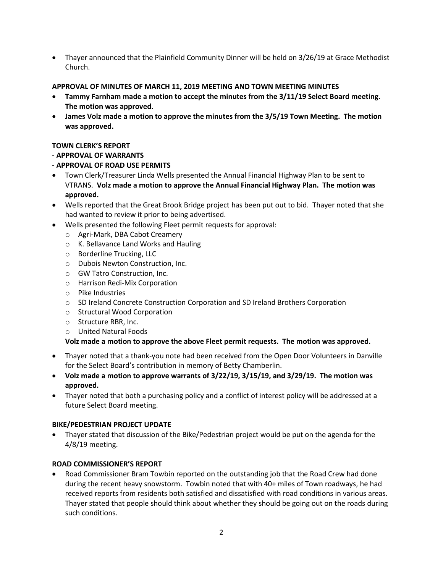Thayer announced that the Plainfield Community Dinner will be held on 3/26/19 at Grace Methodist Church.

# **APPROVAL OF MINUTES OF MARCH 11, 2019 MEETING AND TOWN MEETING MINUTES**

- **Tammy Farnham made a motion to accept the minutes from the 3/11/19 Select Board meeting. The motion was approved.**
- **James Volz made a motion to approve the minutes from the 3/5/19 Town Meeting. The motion was approved.**

# **TOWN CLERK'S REPORT**

# **- APPROVAL OF WARRANTS**

- **- APPROVAL OF ROAD USE PERMITS**
- Town Clerk/Treasurer Linda Wells presented the Annual Financial Highway Plan to be sent to VTRANS. **Volz made a motion to approve the Annual Financial Highway Plan. The motion was approved.**
- Wells reported that the Great Brook Bridge project has been put out to bid. Thayer noted that she had wanted to review it prior to being advertised.
- Wells presented the following Fleet permit requests for approval:
	- o Agri-Mark, DBA Cabot Creamery
	- o K. Bellavance Land Works and Hauling
	- o Borderline Trucking, LLC
	- o Dubois Newton Construction, Inc.
	- o GW Tatro Construction, Inc.
	- o Harrison Redi-Mix Corporation
	- o Pike Industries
	- o SD Ireland Concrete Construction Corporation and SD Ireland Brothers Corporation
	- o Structural Wood Corporation
	- o Structure RBR, Inc.
	- o United Natural Foods

#### **Volz made a motion to approve the above Fleet permit requests. The motion was approved.**

- Thayer noted that a thank-you note had been received from the Open Door Volunteers in Danville for the Select Board's contribution in memory of Betty Chamberlin.
- **Volz made a motion to approve warrants of 3/22/19, 3/15/19, and 3/29/19. The motion was approved.**
- Thayer noted that both a purchasing policy and a conflict of interest policy will be addressed at a future Select Board meeting.

#### **BIKE/PEDESTRIAN PROJECT UPDATE**

 Thayer stated that discussion of the Bike/Pedestrian project would be put on the agenda for the 4/8/19 meeting.

#### **ROAD COMMISSIONER'S REPORT**

 Road Commissioner Bram Towbin reported on the outstanding job that the Road Crew had done during the recent heavy snowstorm. Towbin noted that with 40+ miles of Town roadways, he had received reports from residents both satisfied and dissatisfied with road conditions in various areas. Thayer stated that people should think about whether they should be going out on the roads during such conditions.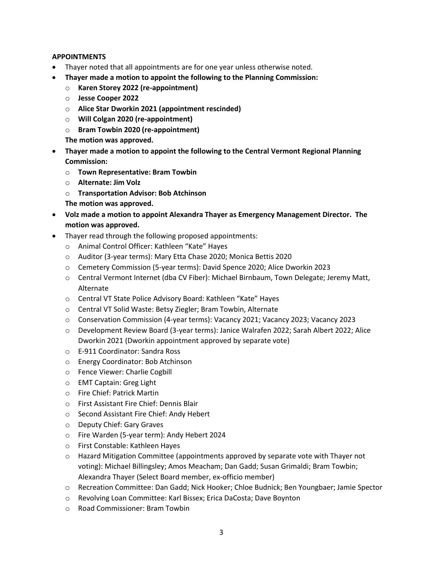# **APPOINTMENTS**

- Thayer noted that all appointments are for one year unless otherwise noted.
- **Thayer made a motion to appoint the following to the Planning Commission:**
	- o **Karen Storey 2022 (re-appointment)**
	- o **Jesse Cooper 2022**
	- o **Alice Star Dworkin 2021 (appointment rescinded)**
	- o **Will Colgan 2020 (re-appointment)**
	- o **Bram Towbin 2020 (re-appointment)**
	- **The motion was approved.**
- **Thayer made a motion to appoint the following to the Central Vermont Regional Planning Commission:**
	- o **Town Representative: Bram Towbin**
	- o **Alternate: Jim Volz**
	- o **Transportation Advisor: Bob Atchinson**
	- **The motion was approved.**
- **Volz made a motion to appoint Alexandra Thayer as Emergency Management Director. The motion was approved.**
- Thayer read through the following proposed appointments:
	- o Animal Control Officer: Kathleen "Kate" Hayes
	- o Auditor (3-year terms): Mary Etta Chase 2020; Monica Bettis 2020
	- o Cemetery Commission (5-year terms): David Spence 2020; Alice Dworkin 2023
	- o Central Vermont Internet (dba CV Fiber): Michael Birnbaum, Town Delegate; Jeremy Matt, Alternate
	- o Central VT State Police Advisory Board: Kathleen "Kate" Hayes
	- o Central VT Solid Waste: Betsy Ziegler; Bram Towbin, Alternate
	- o Conservation Commission (4-year terms): Vacancy 2021; Vacancy 2023; Vacancy 2023
	- o Development Review Board (3-year terms): Janice Walrafen 2022; Sarah Albert 2022; Alice Dworkin 2021 (Dworkin appointment approved by separate vote)
	- o E-911 Coordinator: Sandra Ross
	- o Energy Coordinator: Bob Atchinson
	- o Fence Viewer: Charlie Cogbill
	- o EMT Captain: Greg Light
	- o Fire Chief: Patrick Martin
	- o First Assistant Fire Chief: Dennis Blair
	- o Second Assistant Fire Chief: Andy Hebert
	- o Deputy Chief: Gary Graves
	- o Fire Warden (5-year term): Andy Hebert 2024
	- o First Constable: Kathleen Hayes
	- $\circ$  Hazard Mitigation Committee (appointments approved by separate vote with Thayer not voting): Michael Billingsley; Amos Meacham; Dan Gadd; Susan Grimaldi; Bram Towbin; Alexandra Thayer (Select Board member, ex-officio member)
	- o Recreation Committee: Dan Gadd; Nick Hooker; Chloe Budnick; Ben Youngbaer; Jamie Spector
	- o Revolving Loan Committee: Karl Bissex; Erica DaCosta; Dave Boynton
	- o Road Commissioner: Bram Towbin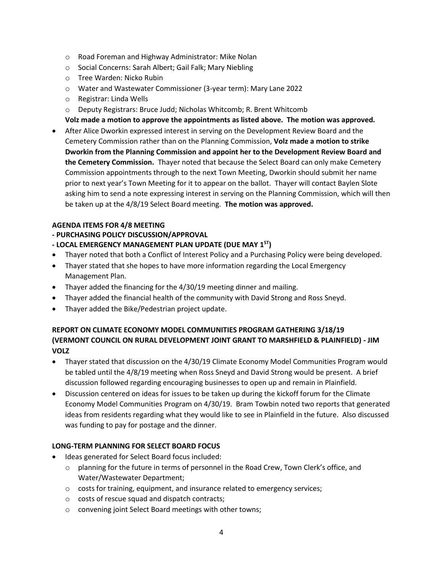- o Road Foreman and Highway Administrator: Mike Nolan
- o Social Concerns: Sarah Albert; Gail Falk; Mary Niebling
- o Tree Warden: Nicko Rubin
- o Water and Wastewater Commissioner (3-year term): Mary Lane 2022
- o Registrar: Linda Wells
- o Deputy Registrars: Bruce Judd; Nicholas Whitcomb; R. Brent Whitcomb
- **Volz made a motion to approve the appointments as listed above. The motion was approved.**
- After Alice Dworkin expressed interest in serving on the Development Review Board and the Cemetery Commission rather than on the Planning Commission, **Volz made a motion to strike Dworkin from the Planning Commission and appoint her to the Development Review Board and the Cemetery Commission.** Thayer noted that because the Select Board can only make Cemetery Commission appointments through to the next Town Meeting, Dworkin should submit her name prior to next year's Town Meeting for it to appear on the ballot. Thayer will contact Baylen Slote asking him to send a note expressing interest in serving on the Planning Commission, which will then be taken up at the 4/8/19 Select Board meeting. **The motion was approved.**

#### **AGENDA ITEMS FOR 4/8 MEETING**

# **- PURCHASING POLICY DISCUSSION/APPROVAL**

- **- LOCAL EMERGENCY MANAGEMENT PLAN UPDATE (DUE MAY 1ST)**
- Thayer noted that both a Conflict of Interest Policy and a Purchasing Policy were being developed.
- Thayer stated that she hopes to have more information regarding the Local Emergency Management Plan.
- Thayer added the financing for the 4/30/19 meeting dinner and mailing.
- Thayer added the financial health of the community with David Strong and Ross Sneyd.
- Thayer added the Bike/Pedestrian project update.

# **REPORT ON CLIMATE ECONOMY MODEL COMMUNITIES PROGRAM GATHERING 3/18/19 (VERMONT COUNCIL ON RURAL DEVELOPMENT JOINT GRANT TO MARSHFIELD & PLAINFIELD) - JIM VOLZ**

- Thayer stated that discussion on the 4/30/19 Climate Economy Model Communities Program would be tabled until the 4/8/19 meeting when Ross Sneyd and David Strong would be present. A brief discussion followed regarding encouraging businesses to open up and remain in Plainfield.
- Discussion centered on ideas for issues to be taken up during the kickoff forum for the Climate Economy Model Communities Program on 4/30/19. Bram Towbin noted two reports that generated ideas from residents regarding what they would like to see in Plainfield in the future. Also discussed was funding to pay for postage and the dinner.

# **LONG-TERM PLANNING FOR SELECT BOARD FOCUS**

- Ideas generated for Select Board focus included:
	- $\circ$  planning for the future in terms of personnel in the Road Crew, Town Clerk's office, and Water/Wastewater Department;
	- o costs for training, equipment, and insurance related to emergency services;
	- o costs of rescue squad and dispatch contracts;
	- o convening joint Select Board meetings with other towns;